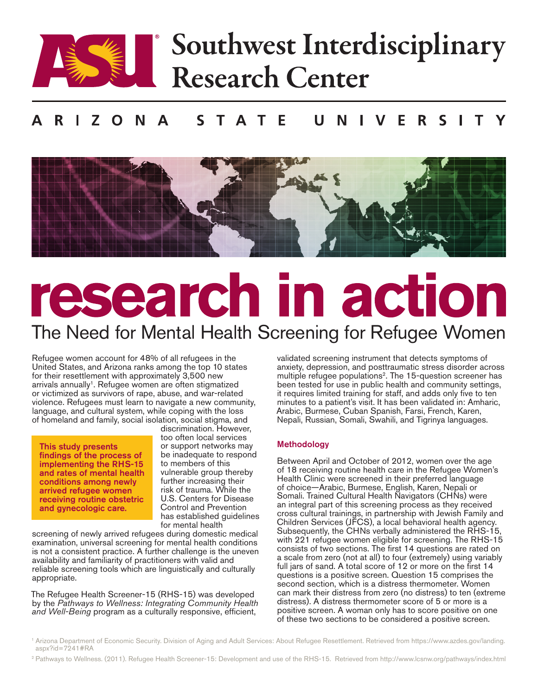

## Southwest Interdisciplinary Research Center

#### $\varsigma$  $\varsigma$ Т A Е R. т Е



# research in action The Need for Mental Health Screening for Refugee Women

Refugee women account for 48% of all refugees in the United States, and Arizona ranks among the top 10 states for their resettlement with approximately 3,500 new arrivals annually<sup>1</sup>. Refugee women are often stigmatized or victimized as survivors of rape, abuse, and war-related violence. Refugees must learn to navigate a new community, language, and cultural system, while coping with the loss of homeland and family, social isolation, social stigma, and

This study presents findings of the process of implementing the RHS-15 and rates of mental health conditions among newly arrived refugee women receiving routine obstetric and gynecologic care.

discrimination. However, too often local services or support networks may be inadequate to respond to members of this vulnerable group thereby further increasing their risk of trauma. While the U.S. Centers for Disease Control and Prevention has established guidelines for mental health

screening of newly arrived refugees during domestic medical examination, universal screening for mental health conditions is not a consistent practice. A further challenge is the uneven availability and familiarity of practitioners with valid and reliable screening tools which are linguistically and culturally appropriate.

The Refugee Health Screener-15 (RHS-15) was developed by the *Pathways to Wellness: Integrating Community Health and Well-Being* program as a culturally responsive, efficient,

validated screening instrument that detects symptoms of anxiety, depression, and posttraumatic stress disorder across multiple refugee populations2. The 15-question screener has been tested for use in public health and community settings, it requires limited training for staff, and adds only five to ten minutes to a patient's visit. It has been validated in: Amharic, Arabic, Burmese, Cuban Spanish, Farsi, French, Karen, Nepali, Russian, Somali, Swahili, and Tigrinya languages.

### Methodology

Between April and October of 2012, women over the age of 18 receiving routine health care in the Refugee Women's Health Clinic were screened in their preferred language of choice—Arabic, Burmese, English, Karen, Nepali or Somali. Trained Cultural Health Navigators (CHNs) were an integral part of this screening process as they received cross cultural trainings, in partnership with Jewish Family and Children Services (JFCS), a local behavioral health agency. Subsequently, the CHNs verbally administered the RHS-15, with 221 refugee women eligible for screening. The RHS-15 consists of two sections. The first 14 questions are rated on a scale from zero (not at all) to four (extremely) using variably full jars of sand. A total score of 12 or more on the first 14 questions is a positive screen. Question 15 comprises the second section, which is a distress thermometer. Women can mark their distress from zero (no distress) to ten (extreme distress). A distress thermometer score of 5 or more is a positive screen. A woman only has to score positive on one of these two sections to be considered a positive screen.

- <sup>1</sup> Arizona Department of Economic Security. Division of Aging and Adult Services: About Refugee Resettlement. Retrieved from https://www.azdes.gov/landing. aspx?id=7241#RA
- <sup>2</sup> Pathways to Wellness. (2011). Refugee Health Screener-15: Development and use of the RHS-15. Retrieved from http://www.lcsnw.org/pathways/index.html